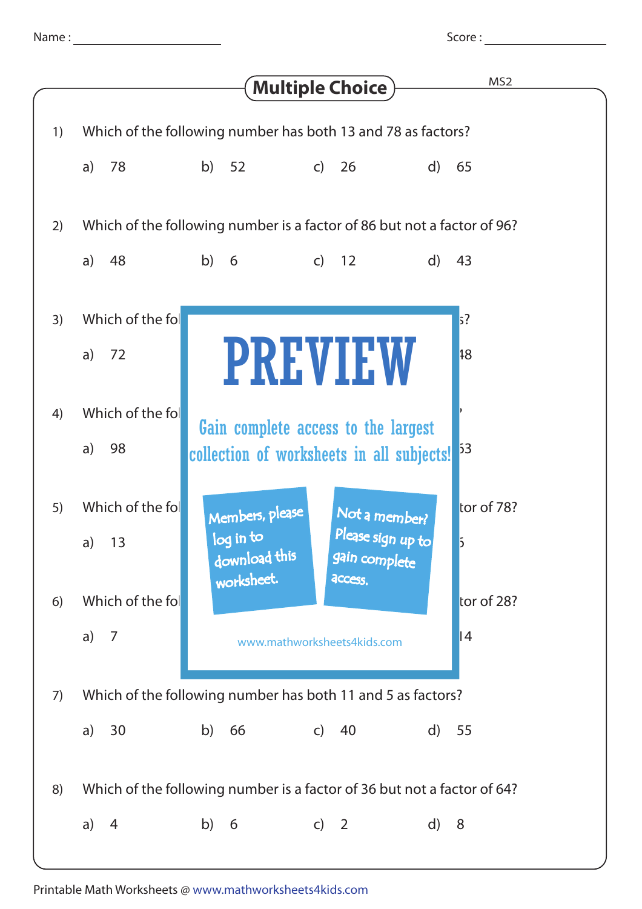